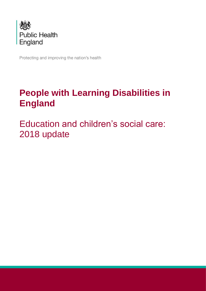

Protecting and improving the nation's health

# **People with Learning Disabilities in England**

Education and children's social care: 2018 update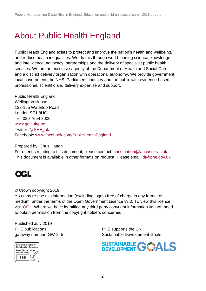## About Public Health England

Public Health England exists to protect and improve the nation's health and wellbeing, and reduce health inequalities. We do this through world-leading science, knowledge and intelligence, advocacy, partnerships and the delivery of specialist public health services. We are an executive agency of the Department of Health and Social Care, and a distinct delivery organisation with operational autonomy. We provide government, local government, the NHS, Parliament, industry and the public with evidence-based professional, scientific and delivery expertise and support.

Public Health England Wellington House 133-155 Waterloo Road London SE1 8UG Tel: 020 7654 8000 [www.gov.uk/phe](http://www.gov.uk/phe) Twitter: [@PHE\\_uk](https://twitter.com/PHE_uk) Facebook: [www.facebook.com/PublicHealthEngland](http://www.facebook.com/PublicHealthEngland)

Prepared by: Chris Hatton

For queries relating to this document, please contact: [chris.hatton@lancaster.ac.uk](mailto:chris.hatton@lancaster.ac.uk) This document is available in other formats on request. Please email [ldt@phe.gov.uk](mailto:ldt@phe.gov.uk)



© Crown copyright 2019

You may re-use this information (excluding logos) free of charge in any format or medium, under the terms of the Open Government Licence v3.0. To view this licence, visit [OGL.](https://www.nationalarchives.gov.uk/doc/open-government-licence/version/3/) Where we have identified any third party copyright information you will need to obtain permission from the copyright holders concerned.

Published July 2019 PHE publications **PHE** supports the UN



gateway number: GW-245 Sustainable Development Goals

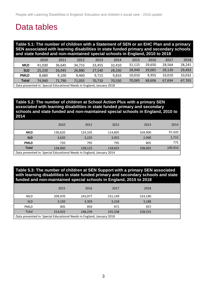### Data tables

**Table 5.1: The number of children with a Statement of SEN or an EHC Plan and a primary SEN associated with learning disabilities in state funded primary and secondary schools and state funded and non-maintained special schools in England, 2010 to 2018**

|              | 2010                                                                 | 2011   | 2012   | 2013   | 2014   | 2015   | 2016   | 2017   | 2018   |
|--------------|----------------------------------------------------------------------|--------|--------|--------|--------|--------|--------|--------|--------|
| <b>MLD</b>   | 41.030                                                               | 36.645 | 34.715 | 33.455 | 32.410 | 31.115 | 29.650 | 28,564 | 28.241 |
| <b>SLD</b>   | 25.230                                                               | 26.045 | 26.880 | 27.540 | 28,330 | 28.940 | 29.001 | 29.120 | 29,492 |
| <b>PMLD</b>  | 8.680                                                                | 9.100  | 9.460  | 9.715  | 9.810  | 10,010 | 9.955  | 10.010 | 10,032 |
| <b>Total</b> | 74,940                                                               | 71.790 | 71,055 | 70.710 | 70.550 | 70,065 | 68.606 | 67.694 | 67,765 |
|              | Deta procented in Caesial Educational Needs in England, Jonuary 2010 |        |        |        |        |        |        |        |        |

Data presented in: Special Educational Needs in England, January 2018

### **Table 5.2: The number of children at School Action Plus with a primary SEN associated with learning disabilities in state funded primary and secondary schools and state funded and non-maintained special schools in England, 2010 to 2014**

|              | 2010                                                                  | 2011    | 2012    | 2013    | 2014    |  |  |  |  |  |
|--------------|-----------------------------------------------------------------------|---------|---------|---------|---------|--|--|--|--|--|
| <b>MLD</b>   | 130,620                                                               | 124,105 | 114,805 | 104.900 | 97,420  |  |  |  |  |  |
| <b>SLD</b>   | 3,620                                                                 | 3,225   | 3,055   | 2,900   | 2,715   |  |  |  |  |  |
| <b>PMLD</b>  | 720                                                                   | 795     | 795     | 805     | 775     |  |  |  |  |  |
| <b>Total</b> | 134,960                                                               | 128,125 | 118,655 | 108,605 | 100,910 |  |  |  |  |  |
|              | Data presented in: Special Educational Needs in England, January 2014 |         |         |         |         |  |  |  |  |  |

#### **Table 5.3: The number of children at SEN Support with a primary SEN associated with learning disabilities in state funded primary and secondary schools and state funded and non-maintained special schools in England, 2015 to 2018**

|            | 2015                                                                  | 2016    | 2017    | 2018    |  |  |  |  |  |  |
|------------|-----------------------------------------------------------------------|---------|---------|---------|--|--|--|--|--|--|
| MLD        | 209,970                                                               | 243,977 | 231,149 | 224.190 |  |  |  |  |  |  |
| <b>SLD</b> | 3,150                                                                 | 3,303   | 3,218   | 3,188   |  |  |  |  |  |  |
| PMLD       | 905                                                                   | 959     | 971     | 937     |  |  |  |  |  |  |
| Total      | 214,025                                                               | 248,239 | 235,338 | 228,315 |  |  |  |  |  |  |
|            | Data presented in: Special Educational Needs in England, January 2018 |         |         |         |  |  |  |  |  |  |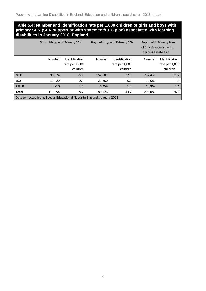#### **Table 5.4: Number and identification rate per 1,000 children of girls and boys with primary SEN (SEN support or with statement/EHC plan) associated with learning disabilities in January 2018, England**

|              | Girls with type of Primary SEN                                          |                                              |         | Boys with type of Primary SEN                |         | <b>Pupils with Primary Need</b><br>of SEN Associated with<br><b>Learning Disabilities</b> |  |  |
|--------------|-------------------------------------------------------------------------|----------------------------------------------|---------|----------------------------------------------|---------|-------------------------------------------------------------------------------------------|--|--|
|              | Number                                                                  | Identification<br>rate per 1,000<br>children | Number  | Identification<br>rate per 1,000<br>children | Number  | Identification<br>rate per 1,000<br>children                                              |  |  |
| <b>MLD</b>   | 99,824                                                                  | 25.2                                         | 152,607 | 37.0                                         | 252,431 | 31.2                                                                                      |  |  |
| <b>SLD</b>   | 11,420                                                                  | 2.9                                          | 21,260  | 5.2                                          | 32,680  | 4.0                                                                                       |  |  |
| <b>PMLD</b>  | 4,710                                                                   | 1.2                                          | 6,259   | 1.5                                          | 10,969  | 1.4                                                                                       |  |  |
| <b>Total</b> | 115,954                                                                 | 29.2                                         | 180,126 | 43.7                                         | 296,080 | 36.6                                                                                      |  |  |
|              | Data extracted from: Special Educational Needs in England, January 2018 |                                              |         |                                              |         |                                                                                           |  |  |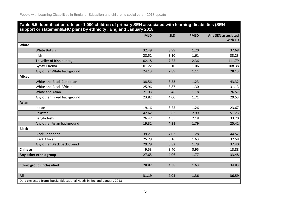| Table 5.5: Identification rate per 1,000 children of primary SEN associated with learning disabilities (SEN<br>support or statement/EHC plan) by ethnicity, England January 2018 |            |            |             |                               |  |  |  |  |
|----------------------------------------------------------------------------------------------------------------------------------------------------------------------------------|------------|------------|-------------|-------------------------------|--|--|--|--|
|                                                                                                                                                                                  | <b>MLD</b> | <b>SLD</b> | <b>PMLD</b> | Any SEN associated<br>with LD |  |  |  |  |
| White                                                                                                                                                                            |            |            |             |                               |  |  |  |  |
| <b>White British</b>                                                                                                                                                             | 32.49      | 3.99       | 1.20        | 37.68                         |  |  |  |  |
| Irish                                                                                                                                                                            | 28.52      | 3.10       | 1.61        | 33.23                         |  |  |  |  |
| Traveller of Irish heritage                                                                                                                                                      | 102.18     | 7.25       | 2.36        | 111.79                        |  |  |  |  |
| Gypsy / Roma                                                                                                                                                                     | 101.22     | 6.10       | 1.06        | 108.38                        |  |  |  |  |
| Any other White background                                                                                                                                                       | 24.13      | 2.89       | 1.11        | 28.13                         |  |  |  |  |
| <b>Mixed</b>                                                                                                                                                                     |            |            |             |                               |  |  |  |  |
| White and Black Caribbean                                                                                                                                                        | 38.56      | 3.53       | 1.23        | 43.32                         |  |  |  |  |
| White and Black African                                                                                                                                                          | 25.96      | 3.87       | 1.30        | 31.13                         |  |  |  |  |
| White and Asian                                                                                                                                                                  | 21.93      | 3.46       | 1.18        | 26.57                         |  |  |  |  |
| Any other mixed background                                                                                                                                                       | 23.82      | 4.00       | 1.71        | 29.53                         |  |  |  |  |
| <b>Asian</b>                                                                                                                                                                     |            |            |             |                               |  |  |  |  |
| Indian                                                                                                                                                                           | 19.16      | 3.25       | 1.26        | 23.67                         |  |  |  |  |
| Pakistani                                                                                                                                                                        | 42.62      | 5.62       | 2.99        | 51.23                         |  |  |  |  |
| Bangladeshi                                                                                                                                                                      | 26.47      | 4.55       | 2.18        | 33.20                         |  |  |  |  |
| Any other Asian background                                                                                                                                                       | 19.32      | 4.31       | 1.79        | 25.42                         |  |  |  |  |
| <b>Black</b>                                                                                                                                                                     |            |            |             |                               |  |  |  |  |
| <b>Black Caribbean</b>                                                                                                                                                           | 39.21      | 4.03       | 1.28        | 44.52                         |  |  |  |  |
| <b>Black African</b>                                                                                                                                                             | 25.79      | 5.16       | 1.63        | 32.58                         |  |  |  |  |
| Any other Black background                                                                                                                                                       | 29.79      | 5.82       | 1.79        | 37.40                         |  |  |  |  |
| <b>Chinese</b>                                                                                                                                                                   | 9.53       | 3.40       | 0.95        | 13.88                         |  |  |  |  |
| Any other ethnic group                                                                                                                                                           | 27.65      | 4.06       | 1.77        | 33.48                         |  |  |  |  |
|                                                                                                                                                                                  |            |            |             |                               |  |  |  |  |
| <b>Ethnic group unclassified</b>                                                                                                                                                 | 28.82      | 4.38       | 1.63        | 34.83                         |  |  |  |  |
| All                                                                                                                                                                              | 31.19      | 4.04       | 1.36        | 36.59                         |  |  |  |  |
| Data extracted from: Special Educational Needs in England, January 2018                                                                                                          |            |            |             |                               |  |  |  |  |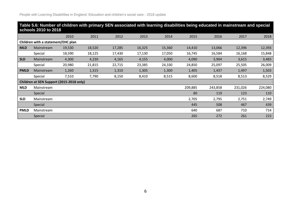|                                    | Table 5.6: Number of children with primary SEN associated with learning disabilities being educated in mainstream and special<br>schools 2010 to 2018 |        |        |        |        |        |         |         |         |         |  |
|------------------------------------|-------------------------------------------------------------------------------------------------------------------------------------------------------|--------|--------|--------|--------|--------|---------|---------|---------|---------|--|
|                                    |                                                                                                                                                       | 2010   | 2011   | 2012   | 2013   | 2014   | 2015    | 2016    | 2017    | 2018    |  |
| Children with a statement/EHC plan |                                                                                                                                                       |        |        |        |        |        |         |         |         |         |  |
| <b>MLD</b>                         | Mainstream                                                                                                                                            | 19,530 | 18,520 | 17,285 | 16,325 | 15,360 | 14,410  | 13,066  | 12,396  | 12,393  |  |
|                                    | Special                                                                                                                                               | 18,590 | 18,125 | 17,430 | 17,130 | 17,050 | 16,745  | 16,584  | 16,168  | 15,848  |  |
| <b>SLD</b>                         | Mainstream                                                                                                                                            | 4,300  | 4,230  | 4,165  | 4,155  | 4,000  | 4,090   | 3,904   | 3,615   | 3,483   |  |
|                                    | Special                                                                                                                                               | 20,980 | 21,815 | 22,715 | 23,385 | 24,330 | 24,850  | 25,097  | 25,505  | 26,009  |  |
| <b>PMLD</b>                        | Mainstream                                                                                                                                            | 1,260  | 1,315  | 1,310  | 1,305  | 1,300  | 1,405   | 1,437   | 1,497   | 1,503   |  |
|                                    | Special                                                                                                                                               | 7,510  | 7,790  | 8,150  | 8,410  | 8,515  | 8,600   | 8,518   | 8,513   | 8,529   |  |
|                                    | Children at SEN Support (2015-2018 only)                                                                                                              |        |        |        |        |        |         |         |         |         |  |
| <b>MLD</b>                         | Mainstream                                                                                                                                            |        |        |        |        |        | 209,885 | 243,858 | 231,026 | 224,080 |  |
|                                    | Special                                                                                                                                               |        |        |        |        |        | 80      | 119     | 123     | 110     |  |
| <b>SLD</b>                         | Mainstream                                                                                                                                            |        |        |        |        |        | 2,705   | 2,795   | 2,751   | 2,749   |  |
|                                    | <b>Special</b>                                                                                                                                        |        |        |        |        |        | 445     | 508     | 467     | 439     |  |
| <b>PMLD</b>                        | Mainstream                                                                                                                                            |        |        |        |        |        | 640     | 687     | 710     | 714     |  |
|                                    | Special                                                                                                                                               |        |        |        |        |        | 265     | 272     | 261     | 223     |  |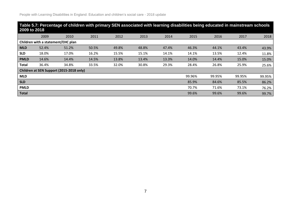| 2009 to 2018 |                                    | Table 5.7: Percentage of children with primary SEN associated with learning disabilities being educated in mainstream schools |       |       |       |       |        |        |        |        |
|--------------|------------------------------------|-------------------------------------------------------------------------------------------------------------------------------|-------|-------|-------|-------|--------|--------|--------|--------|
|              | 2009                               | 2010                                                                                                                          | 2011  | 2012  | 2013  | 2014  | 2015   | 2016   | 2017   | 2018   |
|              | Children with a statement/EHC plan |                                                                                                                               |       |       |       |       |        |        |        |        |
| <b>MLD</b>   | 52.4%                              | 51.2%                                                                                                                         | 50.5% | 49.8% | 48.8% | 47.4% | 46.3%  | 44.1%  | 43.4%  | 43.9%  |
| <b>SLD</b>   | 18.0%                              | 17.0%                                                                                                                         | 16.2% | 15.5% | 15.1% | 14.1% | 14.1%  | 13.5%  | 12.4%  | 11.8%  |
| <b>PMLD</b>  | 14.6%                              | 14.4%                                                                                                                         | 14.5% | 13.8% | 13.4% | 13.3% | 14.0%  | 14.4%  | 15.0%  | 15.0%  |
| <b>Total</b> | 36.4%                              | 34.8%                                                                                                                         | 33.5% | 32.0% | 30.8% | 29.3% | 28.4%  | 26.8%  | 25.9%  | 25.6%  |
|              |                                    | Children at SEN Support (2015-2018 only)                                                                                      |       |       |       |       |        |        |        |        |
| <b>MLD</b>   |                                    |                                                                                                                               |       |       |       |       | 99.96% | 99.95% | 99.95% | 99.95% |
| <b>SLD</b>   |                                    |                                                                                                                               |       |       |       |       | 85.9%  | 84.6%  | 85.5%  | 86.2%  |
| <b>PMLD</b>  |                                    |                                                                                                                               |       |       |       |       | 70.7%  | 71.6%  | 73.1%  | 76.2%  |
| <b>Total</b> |                                    |                                                                                                                               |       |       |       |       | 99.6%  | 99.6%  | 99.6%  | 99.7%  |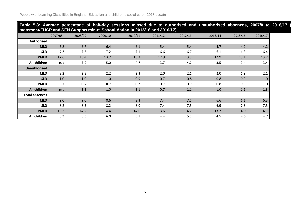#### Table 5.8: Average percentage of half-day sessions missed due to authorised and unauthorised absences, 2007/8 to 2016/17 ( **statement/EHCP and SEN Support minus School Action in 2015/16 and 2016/17)**

|                       | 2007/08 | .<br>2008/09 | 2009/10 | 2010/11 | 2011/12 | 2012/13 | 2013/14 | 2015/16 | 2016/17 |
|-----------------------|---------|--------------|---------|---------|---------|---------|---------|---------|---------|
| <b>Authorised</b>     |         |              |         |         |         |         |         |         |         |
| <b>MLD</b>            | 6.8     | 6.7          | 6.4     | 6.1     | 5.4     | 5.4     | 4.7     | 4.2     | 4.2     |
| <b>SLD</b>            | 7.3     | 7.5          | 7.2     | 7.1     | 6.6     | 6.7     | 6.1     | 6.3     | 6.4     |
| <b>PMLD</b>           | 12.6    | 13.4         | 13.7    | 13.3    | 12.9    | 13.3    | 12.9    | 13.1    | 13.2    |
| All children          | n/a     | 5.2          | 5.0     | 4.7     | 3.7     | 4.2     | 3.5     | 3.4     | 3.4     |
| <b>Unauthorised</b>   |         |              |         |         |         |         |         |         |         |
| <b>MLD</b>            | 2.2     | 2.3          | 2.2     | 2.3     | 2.0     | 2.1     | 2.0     | 1.9     | 2.1     |
| <b>SLD</b>            | 1.0     | 1.0          | 1.0     | 0.9     | 0.7     | 0.8     | 0.8     | 0.9     | 1.0     |
| <b>PMLD</b>           | 0.7     | 0.7          | 0.7     | 0.7     | 0.7     | 0.9     | 0.8     | 0.9     | 1.0     |
| All children          | n/a     | 1.1          | 1.0     | $1.1\,$ | 0.7     | 1.1     | 1.0     | 1.1     | 1.3     |
| <b>Total absences</b> |         |              |         |         |         |         |         |         |         |
| <b>MLD</b>            | 9.0     | 9.0          | 8.6     | 8.3     | 7.4     | 7.5     | 6.6     | 6.1     | 6.3     |
| <b>SLD</b>            | 8.2     | 8.5          | 8.2     | 8.0     | 7.4     | 7.5     | 6.9     | 7.3     | 7.5     |
| <b>PMLD</b>           | 13.3    | 14.2         | 14.4    | 14.0    | 13.6    | 14.2    | 13.7    | 14.0    | 14.1    |
| All children          | 6.3     | 6.3          | 6.0     | 5.8     | 4.4     | 5.3     | 4.5     | 4.6     | 4.7     |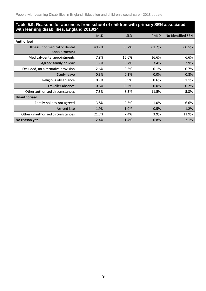#### **Table 5.9: Reasons for absences from school of children with primary SEN associated with learning disabilities, England 2013/14**

|                                                 | <b>MLD</b> | <b>SLD</b> | <b>PMLD</b> | No Identified SEN |
|-------------------------------------------------|------------|------------|-------------|-------------------|
| <b>Authorised</b>                               |            |            |             |                   |
| Illness (not medical or dental<br>appointments) | 49.2%      | 56.7%      | 61.7%       | 60.5%             |
| Medical/dental appointments                     | 7.8%       | 15.6%      | 16.6%       | 6.6%              |
| Agreed family holiday                           | 1.7%       | 5.7%       | 3.4%        | 2.9%              |
| Excluded, no alternative provision              | 2.6%       | 0.5%       | 0.1%        | 0.7%              |
| <b>Study leave</b>                              | 0.3%       | 0.1%       | 0.0%        | 0.8%              |
| Religious observance                            | 0.7%       | 0.9%       | 0.6%        | 1.1%              |
| <b>Traveller absence</b>                        | 0.6%       | 0.2%       | 0.0%        | 0.2%              |
| Other authorised circumstances                  | 7.3%       | 8.3%       | 11.5%       | 5.3%              |
| <b>Unauthorised</b>                             |            |            |             |                   |
| Family holiday not agreed                       | 3.8%       | 2.3%       | 1.0%        | 6.6%              |
| <b>Arrived late</b>                             | 1.9%       | 1.0%       | 0.5%        | 1.2%              |
| Other unauthorised circumstances                | 21.7%      | 7.4%       | 3.9%        | 11.9%             |
| No reason yet                                   | 2.4%       | 1.4%       | 0.8%        | 2.1%              |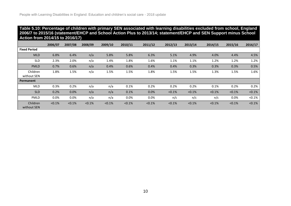#### **Table 5.10: Percentage of children with primary SEN associated with learning disabilities excluded from school, England 2006/7 to 2015/16 (statement/EHCP and School Action Plus to 2013/14; statement/EHCP and SEN Support minus School Action from 2014/15 to 2016/17)**

|                         | 2006/07   | 2007/08 | 2008/09 | 2009/10   | 2010/11   | 2011/12 | 2012/13   | 2013/14   | 2014/15 | 2015/16   | 2016/17   |
|-------------------------|-----------|---------|---------|-----------|-----------|---------|-----------|-----------|---------|-----------|-----------|
| <b>Fixed Period</b>     |           |         |         |           |           |         |           |           |         |           |           |
| <b>MLD</b>              | 6.8%      | 6.4%    | n/a     | 5.8%      | 5.8%      | 6.3%    | 5.1%      | 4.9%      | 4.0%    | 4.4%      | 4.5%      |
| <b>SLD</b>              | 2.3%      | 2.0%    | n/a     | 1.4%      | 1.8%      | 1.6%    | 1.1%      | 1.1%      | 1.2%    | 1.2%      | 1.2%      |
| <b>PMLD</b>             | 0.7%      | 0.6%    | n/a     | 0.4%      | 0.6%      | 0.4%    | 0.4%      | 0.3%      | 0.3%    | 0.3%      | 0.5%      |
| Children<br>without SEN | 1.8%      | 1.5%    | n/a     | 1.5%      | 1.5%      | 1.8%    | 1.5%      | 1.5%      | 1.3%    | 1.5%      | 1.6%      |
| <b>Permanent</b>        |           |         |         |           |           |         |           |           |         |           |           |
| <b>MLD</b>              | 0.3%      | 0.2%    | n/a     | n/a       | 0.1%      | 0.2%    | 0.2%      | 0.2%      | 0.1%    | 0.2%      | 0.2%      |
| <b>SLD</b>              | 0.2%      | 0.0%    | n/a     | n/a       | 0.1%      | 0.0%    | $< 0.1\%$ | $< 0.1\%$ | < 0.1%  | $< 0.1\%$ | $< 0.1\%$ |
| PMLD                    | 0.0%      | 0.0%    | n/a     | n/a       | 0.0%      | 0.0%    | n/c       | n/c       | n/c     | 0.0%      | $< 0.1\%$ |
| Children<br>without SEN | $< 0.1\%$ | < 0.1%  | < 0.1%  | $< 0.1\%$ | $< 0.1\%$ | < 0.1%  | $< 0.1\%$ | $< 0.1\%$ | < 0.1%  | $< 0.1\%$ | $< 0.1\%$ |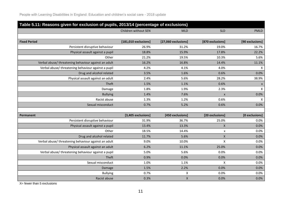|                                                      | Table 5.11: Reasons given for exclusion of pupils, 2013/14 (percentage of exclusions) |                     |                    |                    |  |  |  |  |  |  |  |  |
|------------------------------------------------------|---------------------------------------------------------------------------------------|---------------------|--------------------|--------------------|--|--|--|--|--|--|--|--|
|                                                      | Children without SEN                                                                  | <b>MLD</b>          | <b>SLD</b>         | <b>PMLD</b>        |  |  |  |  |  |  |  |  |
|                                                      |                                                                                       |                     |                    |                    |  |  |  |  |  |  |  |  |
| <b>Fixed Period</b>                                  | $[181,010$ exclusions]                                                                | [27,060 exclusions] | [870 exclusions]   | [90 exclusions]    |  |  |  |  |  |  |  |  |
| Persistent disruptive behaviour                      | 26.9%                                                                                 | 31.2%               | 19.0%              | 16.7%              |  |  |  |  |  |  |  |  |
| Physical assault against a pupil                     | 18.8%                                                                                 | 15.9%               | 17.8%              | 22.2%              |  |  |  |  |  |  |  |  |
| Other                                                | 21.2%                                                                                 | 19.5%               | 10.3%              | 5.6%               |  |  |  |  |  |  |  |  |
| Verbal abuse/threatening behaviour against an adult  | 16.2%                                                                                 | 16.8%               | 14.4%              | 11.1%              |  |  |  |  |  |  |  |  |
| Verbal abuse/ threatening behaviour against a pupil  | 4.2%                                                                                  | 4.1%                | 4.0%               | $\mathsf X$        |  |  |  |  |  |  |  |  |
| Drug and alcohol related                             | 3.5%                                                                                  | 1.6%                | 0.6%               | 0.0%               |  |  |  |  |  |  |  |  |
| Physical assault against an adult                    | 2.4%                                                                                  | 5.6%                | 28.2%              | 38.9%              |  |  |  |  |  |  |  |  |
| Theft                                                | 1.5%                                                                                  | 1.1%                | 0.6%               | X                  |  |  |  |  |  |  |  |  |
| Damage                                               | 1.8%                                                                                  | 1.9%                | 2.3%               | $\pmb{\mathsf{X}}$ |  |  |  |  |  |  |  |  |
| <b>Bullying</b>                                      | 1.4%                                                                                  | 7.6%                | $\pmb{\times}$     | 0.0%               |  |  |  |  |  |  |  |  |
| Racist abuse                                         | 1.3%                                                                                  | 1.2%                | 0.6%               | $\mathsf{X}$       |  |  |  |  |  |  |  |  |
| Sexual misconduct                                    | 0.7%                                                                                  | 5.2%                | 0.6%               | 0.0%               |  |  |  |  |  |  |  |  |
|                                                      |                                                                                       |                     |                    |                    |  |  |  |  |  |  |  |  |
| Permanent                                            | [3,405 exclusions]                                                                    | [450 exclusions]    | [20 exclusions]    | [0 exclusions]     |  |  |  |  |  |  |  |  |
| Persistent disruptive behaviour                      | 31.9%                                                                                 | 36.7%               | 25.0%              | 0.0%               |  |  |  |  |  |  |  |  |
| Physical assault against a pupil                     | 13.4%                                                                                 | 13.3%               | $\pmb{\times}$     | 0.0%               |  |  |  |  |  |  |  |  |
| Other                                                | 18.5%                                                                                 | 14.4%               | X                  | 0.0%               |  |  |  |  |  |  |  |  |
| Drug and alcohol related                             | 11.7%                                                                                 | 5.6%                | $\pmb{\times}$     | 0.0%               |  |  |  |  |  |  |  |  |
| Verbal abuse/ threatening behaviour against an adult | 9.0%                                                                                  | 10.0%               | $\pmb{\mathsf{X}}$ | 0.0%               |  |  |  |  |  |  |  |  |
| Physical assault against an adult                    | 6.2%                                                                                  | 11.1%               | 25.0%              | 0.0%               |  |  |  |  |  |  |  |  |
| Verbal abuse/ threatening behaviour against a pupil  | 5.0%                                                                                  | 5.6%                | 0.0%               | 0.0%               |  |  |  |  |  |  |  |  |
| Theft                                                | 0.9%                                                                                  | 0.0%                | 0.0%               | 0.0%               |  |  |  |  |  |  |  |  |
| Sexual misconduct                                    | 1.0%                                                                                  | 1.1%                | X                  | 0.0%               |  |  |  |  |  |  |  |  |
| Damage                                               | 1.5%                                                                                  | 2.2%                | 0.0%               | 0.0%               |  |  |  |  |  |  |  |  |
| <b>Bullying</b>                                      | 0.7%                                                                                  | X                   | 0.0%               | 0.0%               |  |  |  |  |  |  |  |  |
| Racist abuse                                         | 0.3%                                                                                  | $\mathsf X$         | 0.0%               | 0.0%               |  |  |  |  |  |  |  |  |

X= fewer than 5 exclusions